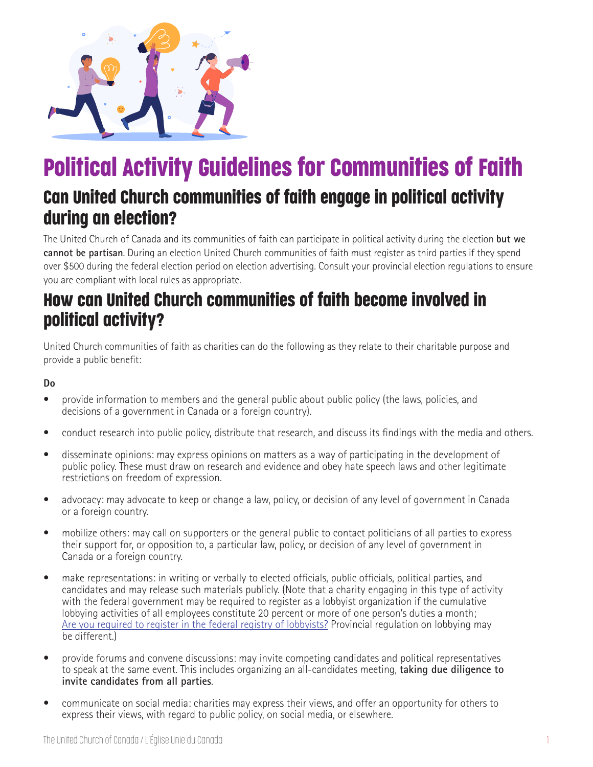

# Political Activity Guidelines for Communities of Faith

### Can United Church communities of faith engage in political activity during an election?

The United Church of Canada and its communities of faith can participate in political activity during the election **but we cannot be partisan**. During an election United Church communities of faith must register as third parties if they spend over \$500 during the federal election period on election advertising. Consult your provincial election regulations to ensure you are compliant with local rules as appropriate.

### How can United Church communities of faith become involved in political activity?

United Church communities of faith as charities can do the following as they relate to their charitable purpose and provide a public benefit:

#### **Do**

- provide information to members and the general public about public policy (the laws, policies, and decisions of a government in Canada or a foreign country).
- conduct research into public policy, distribute that research, and discuss its findings with the media and others.
- disseminate opinions: may express opinions on matters as a way of participating in the development of public policy. These must draw on research and evidence and obey hate speech laws and other legitimate restrictions on freedom of expression.
- advocacy: may advocate to keep or change a law, policy, or decision of any level of government in Canada or a foreign country.
- mobilize others: may call on supporters or the general public to contact politicians of all parties to express their support for, or opposition to, a particular law, policy, or decision of any level of government in Canada or a foreign country.
- make representations: in writing or verbally to elected officials, public officials, political parties, and candidates and may release such materials publicly. (Note that a charity engaging in this type of activity with the federal government may be required to register as a lobbyist organization if the cumulative lobbying activities of all employees constitute 20 percent or more of one person's duties a month; Are you required to register in the federal registry of lobbyists? Provincial regulation on lobbying may be different.)
- provide forums and convene discussions: may invite competing candidates and political representatives to speak at the same event. This includes organizing an all-candidates meeting, **taking due diligence to invite candidates from all parties**.
- communicate on social media: charities may express their views, and offer an opportunity for others to express their views, with regard to public policy, on social media, or elsewhere.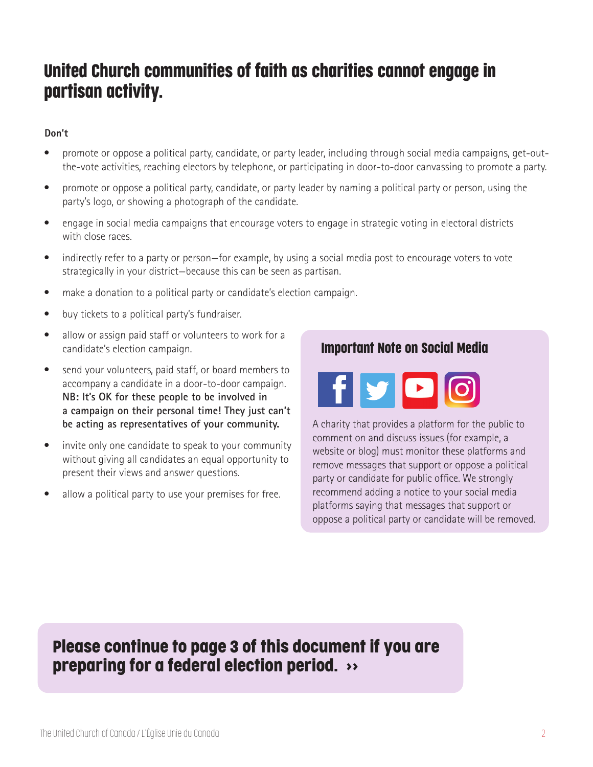## United Church communities of faith as charities cannot engage in partisan activity.

#### **Don't**

- promote or oppose a political party, candidate, or party leader, including through social media campaigns, get-out the-vote activities, reaching electors by telephone, or participating in door-to-door canvassing to promote a party.
- promote or oppose a political party, candidate, or party leader by naming a political party or person, using the party's logo, or showing a photograph of the candidate.
- engage in social media campaigns that encourage voters to engage in strategic voting in electoral districts with close races.
- indirectly refer to a party or person—for example, by using a social media post to encourage voters to vote strategically in your district—because this can be seen as partisan.
- make a donation to a political party or candidate's election campaign.
- buy tickets to a political party's fundraiser.
- allow or assign paid staff or volunteers to work for a candidate's election campaign.
- send your volunteers, paid staff, or board members to accompany a candidate in a door-to-door campaign. **NB: It's OK for these people to be involved in a campaign on their personal time! They just can't be acting as representatives of your community.**
- invite only one candidate to speak to your community without giving all candidates an equal opportunity to present their views and answer questions.
- allow a political party to use your premises for free.

Important Note on Social Media



A charity that provides a platform for the public to comment on and discuss issues (for example, a website or blog) must monitor these platforms and remove messages that support or oppose a political party or candidate for public office. We strongly recommend adding a notice to your social media platforms saying that messages that support or oppose a political party or candidate will be removed.

#### Please continue to page 3 of this document if you are preparing for a federal election period. >>